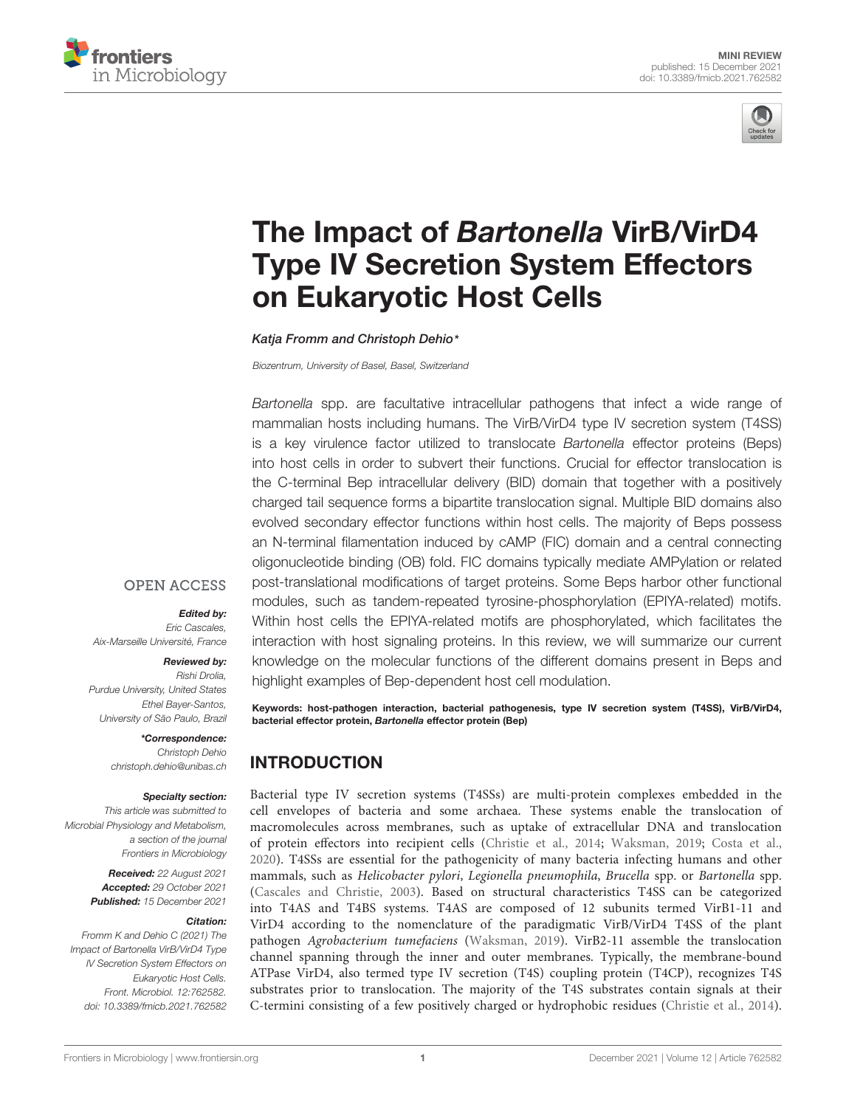



# The Impact of Bartonella VirB/VirD4 [Type IV Secretion System Effectors](https://www.frontiersin.org/articles/10.3389/fmicb.2021.762582/full) on Eukaryotic Host Cells

Katja Fromm and Christoph Dehio\*

Biozentrum, University of Basel, Basel, Switzerland

Bartonella spp. are facultative intracellular pathogens that infect a wide range of mammalian hosts including humans. The VirB/VirD4 type IV secretion system (T4SS) is a key virulence factor utilized to translocate Bartonella effector proteins (Beps) into host cells in order to subvert their functions. Crucial for effector translocation is the C-terminal Bep intracellular delivery (BID) domain that together with a positively charged tail sequence forms a bipartite translocation signal. Multiple BID domains also evolved secondary effector functions within host cells. The majority of Beps possess an N-terminal filamentation induced by cAMP (FIC) domain and a central connecting oligonucleotide binding (OB) fold. FIC domains typically mediate AMPylation or related post-translational modifications of target proteins. Some Beps harbor other functional modules, such as tandem-repeated tyrosine-phosphorylation (EPIYA-related) motifs. Within host cells the EPIYA-related motifs are phosphorylated, which facilitates the interaction with host signaling proteins. In this review, we will summarize our current knowledge on the molecular functions of the different domains present in Beps and highlight examples of Bep-dependent host cell modulation.

Keywords: host-pathogen interaction, bacterial pathogenesis, type IV secretion system (T4SS), VirB/VirD4, bacterial effector protein, Bartonella effector protein (Bep)

#### INTRODUCTION

Bacterial type IV secretion systems (T4SSs) are multi-protein complexes embedded in the cell envelopes of bacteria and some archaea. These systems enable the translocation of macromolecules across membranes, such as uptake of extracellular DNA and translocation of protein effectors into recipient cells [\(Christie et al.,](#page-5-0) [2014;](#page-5-0) [Waksman,](#page-7-0) [2019;](#page-7-0) [Costa et al.,](#page-5-1) [2020\)](#page-5-1). T4SSs are essential for the pathogenicity of many bacteria infecting humans and other mammals, such as Helicobacter pylori, Legionella pneumophila, Brucella spp. or Bartonella spp. [\(Cascales and Christie,](#page-5-2) [2003\)](#page-5-2). Based on structural characteristics T4SS can be categorized into T4AS and T4BS systems. T4AS are composed of 12 subunits termed VirB1-11 and VirD4 according to the nomenclature of the paradigmatic VirB/VirD4 T4SS of the plant pathogen Agrobacterium tumefaciens [\(Waksman,](#page-7-0) [2019\)](#page-7-0). VirB2-11 assemble the translocation channel spanning through the inner and outer membranes. Typically, the membrane-bound ATPase VirD4, also termed type IV secretion (T4S) coupling protein (T4CP), recognizes T4S substrates prior to translocation. The majority of the T4S substrates contain signals at their C-termini consisting of a few positively charged or hydrophobic residues [\(Christie et al.,](#page-5-0) [2014\)](#page-5-0).

#### **OPEN ACCESS**

#### Edited by:

Eric Cascales, Aix-Marseille Université, France

#### Reviewed by: Rishi Drolia,

Purdue University, United States Ethel Bayer-Santos, University of São Paulo, Brazil

> \*Correspondence: Christoph Dehio christoph.dehio@unibas.ch

#### Specialty section:

This article was submitted to Microbial Physiology and Metabolism, a section of the journal Frontiers in Microbiology

> Received: 22 August 2021 Accepted: 29 October 2021 Published: 15 December 2021

#### Citation:

Fromm K and Dehio C (2021) The Impact of Bartonella VirB/VirD4 Type IV Secretion System Effectors on Eukaryotic Host Cells. Front. Microbiol. 12:762582. doi: [10.3389/fmicb.2021.762582](https://doi.org/10.3389/fmicb.2021.762582)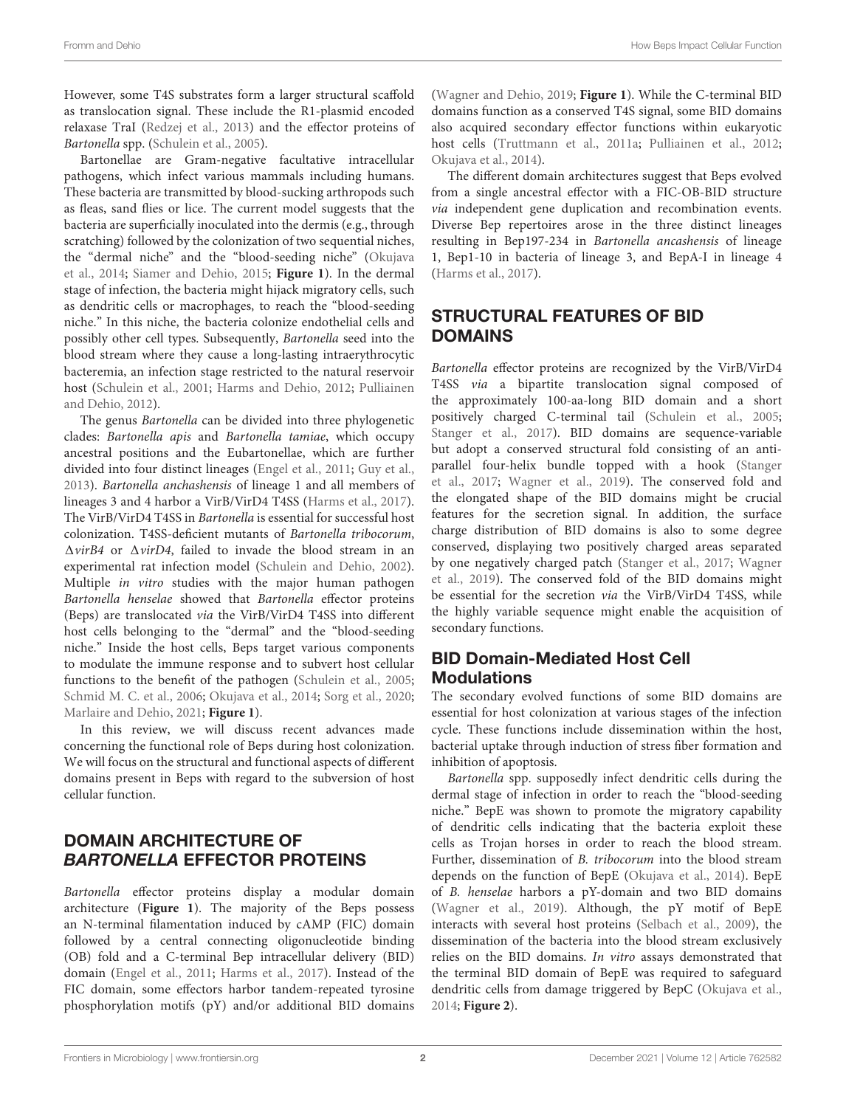However, some T4S substrates form a larger structural scaffold as translocation signal. These include the R1-plasmid encoded relaxase TraI [\(Redzej et al.,](#page-6-0) [2013\)](#page-6-0) and the effector proteins of Bartonella spp. [\(Schulein et al.,](#page-6-1) [2005\)](#page-6-1).

Bartonellae are Gram-negative facultative intracellular pathogens, which infect various mammals including humans. These bacteria are transmitted by blood-sucking arthropods such as fleas, sand flies or lice. The current model suggests that the bacteria are superficially inoculated into the dermis (e.g., through scratching) followed by the colonization of two sequential niches, the "dermal niche" and the "blood-seeding niche" [\(Okujava](#page-6-2) [et al.,](#page-6-2) [2014;](#page-6-2) [Siamer and Dehio,](#page-7-1) [2015;](#page-7-1) **[Figure 1](#page-2-0)**). In the dermal stage of infection, the bacteria might hijack migratory cells, such as dendritic cells or macrophages, to reach the "blood-seeding niche." In this niche, the bacteria colonize endothelial cells and possibly other cell types. Subsequently, Bartonella seed into the blood stream where they cause a long-lasting intraerythrocytic bacteremia, an infection stage restricted to the natural reservoir host [\(Schulein et al.,](#page-6-3) [2001;](#page-6-3) [Harms and Dehio,](#page-6-4) [2012;](#page-6-4) [Pulliainen](#page-6-5) [and Dehio,](#page-6-5) [2012\)](#page-6-5).

The genus Bartonella can be divided into three phylogenetic clades: Bartonella apis and Bartonella tamiae, which occupy ancestral positions and the Eubartonellae, which are further divided into four distinct lineages [\(Engel et al.,](#page-5-3) [2011;](#page-5-3) [Guy et al.,](#page-6-6) [2013\)](#page-6-6). Bartonella anchashensis of lineage 1 and all members of lineages 3 and 4 harbor a VirB/VirD4 T4SS [\(Harms et al.,](#page-6-7) [2017\)](#page-6-7). The VirB/VirD4 T4SS in Bartonella is essential for successful host colonization. T4SS-deficient mutants of Bartonella tribocorum,  $\Delta$ *virB4* or  $\Delta$ *virD4*, failed to invade the blood stream in an experimental rat infection model [\(Schulein and Dehio,](#page-6-8) [2002\)](#page-6-8). Multiple in vitro studies with the major human pathogen Bartonella henselae showed that Bartonella effector proteins (Beps) are translocated via the VirB/VirD4 T4SS into different host cells belonging to the "dermal" and the "blood-seeding niche." Inside the host cells, Beps target various components to modulate the immune response and to subvert host cellular functions to the benefit of the pathogen [\(Schulein et al.,](#page-6-1) [2005;](#page-6-1) [Schmid M. C. et al.,](#page-6-9) [2006;](#page-6-9) [Okujava et al.,](#page-6-2) [2014;](#page-6-2) [Sorg et al.,](#page-7-2) [2020;](#page-7-2) [Marlaire and Dehio,](#page-6-10) [2021;](#page-6-10) **[Figure 1](#page-2-0)**).

In this review, we will discuss recent advances made concerning the functional role of Beps during host colonization. We will focus on the structural and functional aspects of different domains present in Beps with regard to the subversion of host cellular function.

## DOMAIN ARCHITECTURE OF BARTONELLA EFFECTOR PROTEINS

Bartonella effector proteins display a modular domain architecture (**[Figure 1](#page-2-0)**). The majority of the Beps possess an N-terminal filamentation induced by cAMP (FIC) domain followed by a central connecting oligonucleotide binding (OB) fold and a C-terminal Bep intracellular delivery (BID) domain [\(Engel et al.,](#page-5-3) [2011;](#page-5-3) [Harms et al.,](#page-6-7) [2017\)](#page-6-7). Instead of the FIC domain, some effectors harbor tandem-repeated tyrosine phosphorylation motifs (pY) and/or additional BID domains

[\(Wagner and Dehio,](#page-7-3) [2019;](#page-7-3) **[Figure 1](#page-2-0)**). While the C-terminal BID domains function as a conserved T4S signal, some BID domains also acquired secondary effector functions within eukaryotic host cells [\(Truttmann et al.,](#page-7-4) [2011a;](#page-7-4) [Pulliainen et al.,](#page-6-11) [2012;](#page-6-11) [Okujava et al.,](#page-6-2) [2014\)](#page-6-2).

The different domain architectures suggest that Beps evolved from a single ancestral effector with a FIC-OB-BID structure via independent gene duplication and recombination events. Diverse Bep repertoires arose in the three distinct lineages resulting in Bep197-234 in Bartonella ancashensis of lineage 1, Bep1-10 in bacteria of lineage 3, and BepA-I in lineage 4 [\(Harms et al.,](#page-6-7) [2017\)](#page-6-7).

# STRUCTURAL FEATURES OF BID DOMAINS

Bartonella effector proteins are recognized by the VirB/VirD4 T4SS via a bipartite translocation signal composed of the approximately 100-aa-long BID domain and a short positively charged C-terminal tail [\(Schulein et al.,](#page-6-1) [2005;](#page-6-1) [Stanger et al.,](#page-7-5) [2017\)](#page-7-5). BID domains are sequence-variable but adopt a conserved structural fold consisting of an antiparallel four-helix bundle topped with a hook [\(Stanger](#page-7-5) [et al.,](#page-7-5) [2017;](#page-7-5) [Wagner et al.,](#page-7-6) [2019\)](#page-7-6). The conserved fold and the elongated shape of the BID domains might be crucial features for the secretion signal. In addition, the surface charge distribution of BID domains is also to some degree conserved, displaying two positively charged areas separated by one negatively charged patch [\(Stanger et al.,](#page-7-5) [2017;](#page-7-5) [Wagner](#page-7-6) [et al.,](#page-7-6) [2019\)](#page-7-6). The conserved fold of the BID domains might be essential for the secretion via the VirB/VirD4 T4SS, while the highly variable sequence might enable the acquisition of secondary functions.

## BID Domain-Mediated Host Cell **Modulations**

The secondary evolved functions of some BID domains are essential for host colonization at various stages of the infection cycle. These functions include dissemination within the host, bacterial uptake through induction of stress fiber formation and inhibition of apoptosis.

Bartonella spp. supposedly infect dendritic cells during the dermal stage of infection in order to reach the "blood-seeding niche." BepE was shown to promote the migratory capability of dendritic cells indicating that the bacteria exploit these cells as Trojan horses in order to reach the blood stream. Further, dissemination of B. tribocorum into the blood stream depends on the function of BepE [\(Okujava et al.,](#page-6-2) [2014\)](#page-6-2). BepE of B. henselae harbors a pY-domain and two BID domains [\(Wagner et al.,](#page-7-6) [2019\)](#page-7-6). Although, the pY motif of BepE interacts with several host proteins [\(Selbach et al.,](#page-6-12) [2009\)](#page-6-12), the dissemination of the bacteria into the blood stream exclusively relies on the BID domains. In vitro assays demonstrated that the terminal BID domain of BepE was required to safeguard dendritic cells from damage triggered by BepC [\(Okujava et al.,](#page-6-2) [2014;](#page-6-2) **[Figure 2](#page-3-0)**).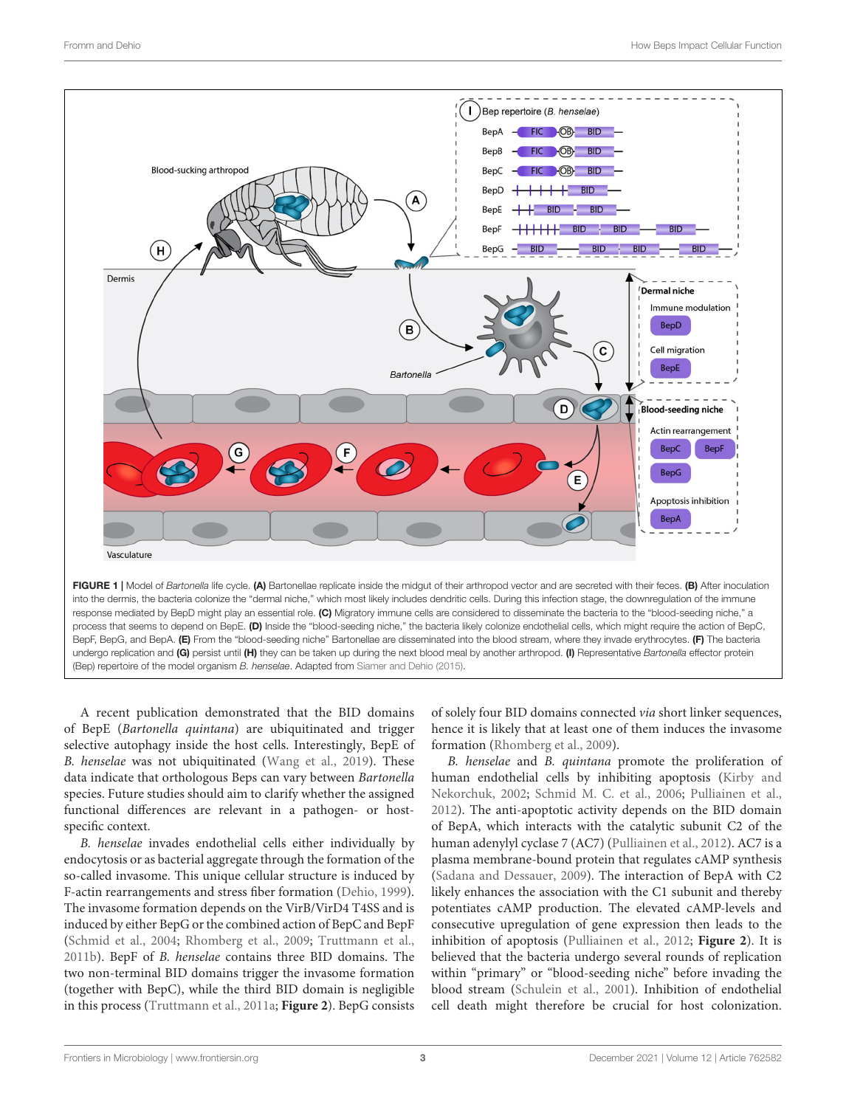

<span id="page-2-0"></span>A recent publication demonstrated that the BID domains of BepE (Bartonella quintana) are ubiquitinated and trigger selective autophagy inside the host cells. Interestingly, BepE of B. henselae was not ubiquitinated [\(Wang et al.,](#page-7-7) [2019\)](#page-7-7). These data indicate that orthologous Beps can vary between Bartonella species. Future studies should aim to clarify whether the assigned functional differences are relevant in a pathogen- or hostspecific context.

B. henselae invades endothelial cells either individually by endocytosis or as bacterial aggregate through the formation of the so-called invasome. This unique cellular structure is induced by F-actin rearrangements and stress fiber formation [\(Dehio,](#page-5-4) [1999\)](#page-5-4). The invasome formation depends on the VirB/VirD4 T4SS and is induced by either BepG or the combined action of BepC and BepF [\(Schmid et al.,](#page-6-13) [2004;](#page-6-13) [Rhomberg et al.,](#page-6-14) [2009;](#page-6-14) [Truttmann et al.,](#page-7-8) [2011b\)](#page-7-8). BepF of B. henselae contains three BID domains. The two non-terminal BID domains trigger the invasome formation (together with BepC), while the third BID domain is negligible in this process [\(Truttmann et al.,](#page-7-4) [2011a;](#page-7-4) **[Figure 2](#page-3-0)**). BepG consists

of solely four BID domains connected via short linker sequences, hence it is likely that at least one of them induces the invasome formation [\(Rhomberg et al.,](#page-6-14) [2009\)](#page-6-14).

B. henselae and B. quintana promote the proliferation of human endothelial cells by inhibiting apoptosis [\(Kirby and](#page-6-15) [Nekorchuk,](#page-6-15) [2002;](#page-6-15) [Schmid M. C. et al.,](#page-6-9) [2006;](#page-6-9) [Pulliainen et al.,](#page-6-11) [2012\)](#page-6-11). The anti-apoptotic activity depends on the BID domain of BepA, which interacts with the catalytic subunit C2 of the human adenylyl cyclase 7 (AC7) [\(Pulliainen et al.,](#page-6-11) [2012\)](#page-6-11). AC7 is a plasma membrane-bound protein that regulates cAMP synthesis [\(Sadana and Dessauer,](#page-6-16) [2009\)](#page-6-16). The interaction of BepA with C2 likely enhances the association with the C1 subunit and thereby potentiates cAMP production. The elevated cAMP-levels and consecutive upregulation of gene expression then leads to the inhibition of apoptosis [\(Pulliainen et al.,](#page-6-11) [2012;](#page-6-11) **[Figure 2](#page-3-0)**). It is believed that the bacteria undergo several rounds of replication within "primary" or "blood-seeding niche" before invading the blood stream [\(Schulein et al.,](#page-6-3) [2001\)](#page-6-3). Inhibition of endothelial cell death might therefore be crucial for host colonization.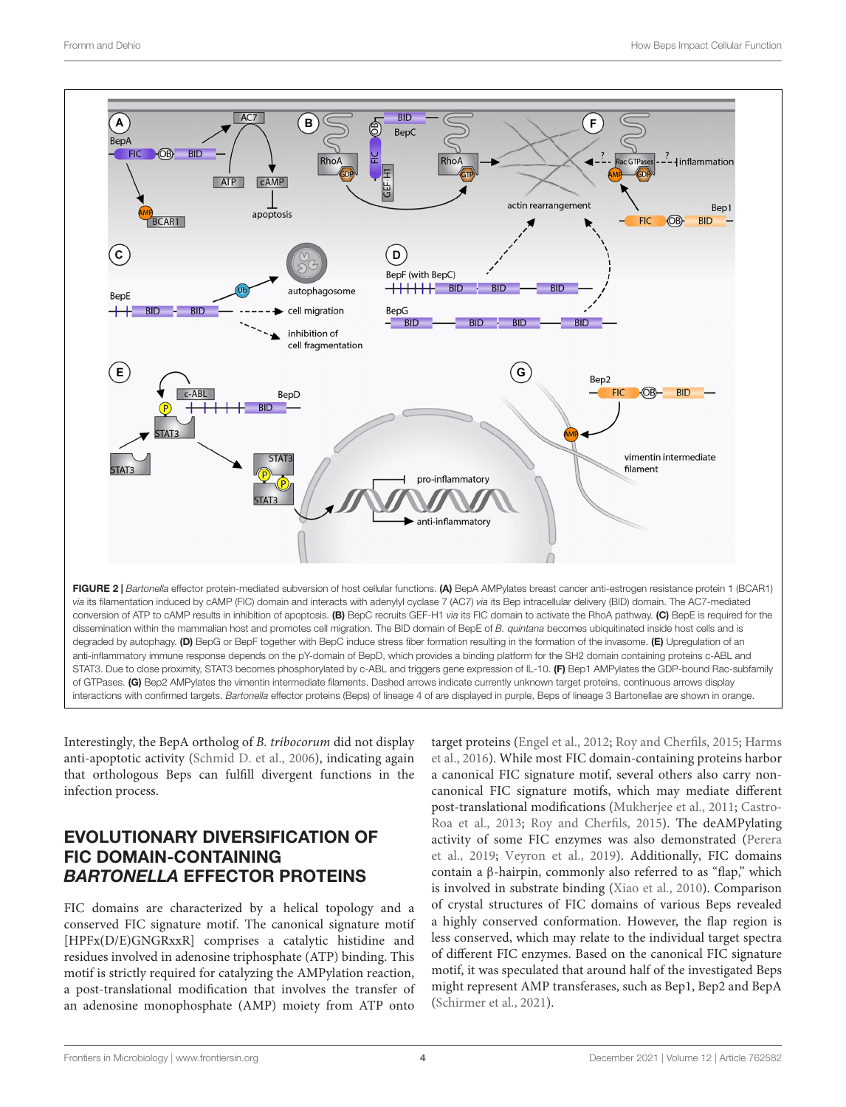

<span id="page-3-0"></span>Interestingly, the BepA ortholog of B. tribocorum did not display anti-apoptotic activity [\(Schmid D. et al.,](#page-6-17) [2006\)](#page-6-17), indicating again that orthologous Beps can fulfill divergent functions in the infection process.

#### EVOLUTIONARY DIVERSIFICATION OF FIC DOMAIN-CONTAINING BARTONELLA EFFECTOR PROTEINS

FIC domains are characterized by a helical topology and a conserved FIC signature motif. The canonical signature motif [HPFx(D/E)GNGRxxR] comprises a catalytic histidine and residues involved in adenosine triphosphate (ATP) binding. This motif is strictly required for catalyzing the AMPylation reaction, a post-translational modification that involves the transfer of an adenosine monophosphate (AMP) moiety from ATP onto

target proteins [\(Engel et al.,](#page-5-5) [2012;](#page-5-5) [Roy and Cherfils,](#page-6-18) [2015;](#page-6-18) [Harms](#page-6-19) [et al.,](#page-6-19) [2016\)](#page-6-19). While most FIC domain-containing proteins harbor a canonical FIC signature motif, several others also carry noncanonical FIC signature motifs, which may mediate different post-translational modifications [\(Mukherjee et al.,](#page-6-20) [2011;](#page-6-20) [Castro-](#page-5-6)[Roa et al.,](#page-5-6) [2013;](#page-5-6) [Roy and Cherfils,](#page-6-18) [2015\)](#page-6-18). The deAMPylating activity of some FIC enzymes was also demonstrated [\(Perera](#page-6-21) [et al.,](#page-6-21) [2019;](#page-6-21) [Veyron et al.,](#page-7-9) [2019\)](#page-7-9). Additionally, FIC domains contain a β-hairpin, commonly also referred to as "flap," which is involved in substrate binding [\(Xiao et al.,](#page-7-10) [2010\)](#page-7-10). Comparison of crystal structures of FIC domains of various Beps revealed a highly conserved conformation. However, the flap region is less conserved, which may relate to the individual target spectra of different FIC enzymes. Based on the canonical FIC signature motif, it was speculated that around half of the investigated Beps might represent AMP transferases, such as Bep1, Bep2 and BepA [\(Schirmer et al.,](#page-6-22) [2021\)](#page-6-22).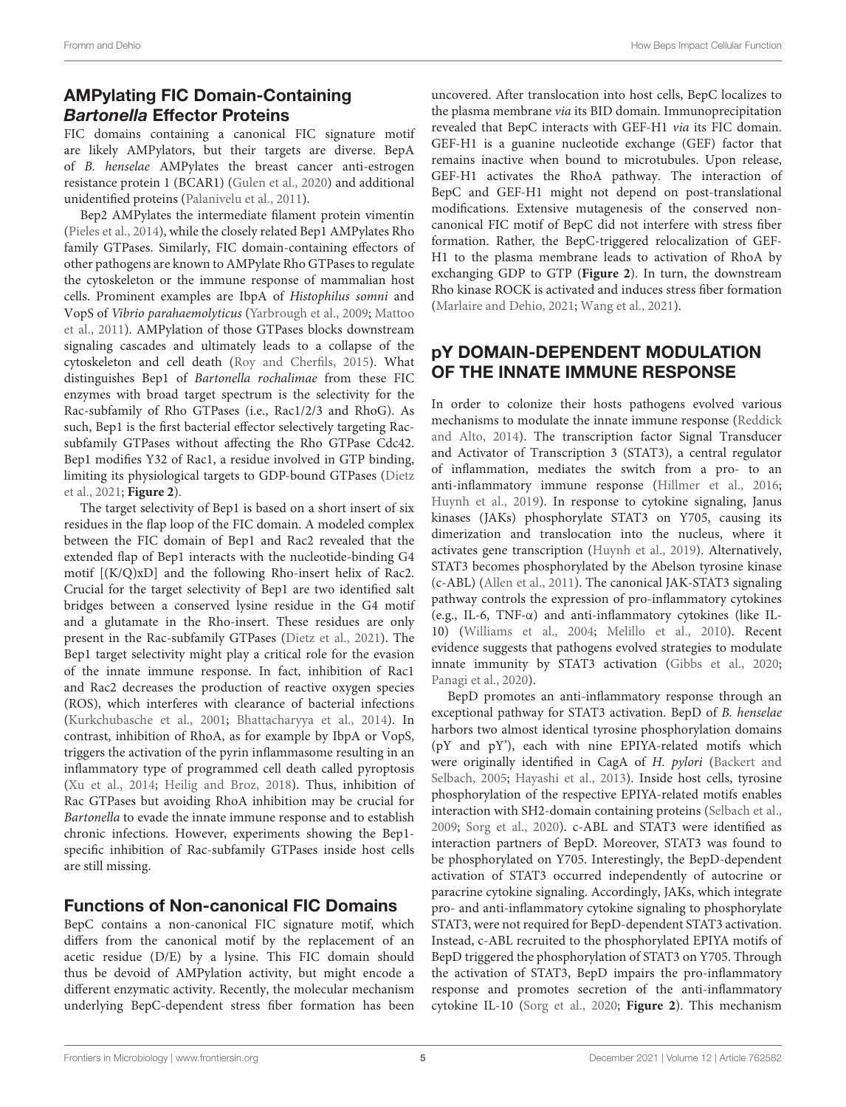# AMPylating FIC Domain-Containing Bartonella Effector Proteins

FIC domains containing a canonical FIC signature motif are likely AMPylators, but their targets are diverse. BepA of B. henselae AMPylates the breast cancer anti-estrogen resistance protein 1 (BCAR1) [\(Gulen et al.,](#page-6-23) [2020\)](#page-6-23) and additional unidentified proteins [\(Palanivelu et al.,](#page-6-24) [2011\)](#page-6-24).

Bep2 AMPylates the intermediate filament protein vimentin [\(Pieles et al.,](#page-6-25) [2014\)](#page-6-25), while the closely related Bep1 AMPylates Rho family GTPases. Similarly, FIC domain-containing effectors of other pathogens are known to AMPylate Rho GTPases to regulate the cytoskeleton or the immune response of mammalian host cells. Prominent examples are IbpA of Histophilus somni and VopS of Vibrio parahaemolyticus [\(Yarbrough et al.,](#page-7-11) [2009;](#page-7-11) [Mattoo](#page-6-26) [et al.,](#page-6-26) [2011\)](#page-6-26). AMPylation of those GTPases blocks downstream signaling cascades and ultimately leads to a collapse of the cytoskeleton and cell death [\(Roy and Cherfils,](#page-6-18) [2015\)](#page-6-18). What distinguishes Bep1 of Bartonella rochalimae from these FIC enzymes with broad target spectrum is the selectivity for the Rac-subfamily of Rho GTPases (i.e., Rac1/2/3 and RhoG). As such, Bep1 is the first bacterial effector selectively targeting Racsubfamily GTPases without affecting the Rho GTPase Cdc42. Bep1 modifies Y32 of Rac1, a residue involved in GTP binding, limiting its physiological targets to GDP-bound GTPases [\(Dietz](#page-5-7) [et al.,](#page-5-7) [2021;](#page-5-7) **[Figure 2](#page-3-0)**).

The target selectivity of Bep1 is based on a short insert of six residues in the flap loop of the FIC domain. A modeled complex between the FIC domain of Bep1 and Rac2 revealed that the extended flap of Bep1 interacts with the nucleotide-binding G4 motif [(K/Q)xD] and the following Rho-insert helix of Rac2. Crucial for the target selectivity of Bep1 are two identified salt bridges between a conserved lysine residue in the G4 motif and a glutamate in the Rho-insert. These residues are only present in the Rac-subfamily GTPases [\(Dietz et al.,](#page-5-7) [2021\)](#page-5-7). The Bep1 target selectivity might play a critical role for the evasion of the innate immune response. In fact, inhibition of Rac1 and Rac2 decreases the production of reactive oxygen species (ROS), which interferes with clearance of bacterial infections [\(Kurkchubasche et al.,](#page-6-27) [2001;](#page-6-27) [Bhattacharyya et al.,](#page-5-8) [2014\)](#page-5-8). In contrast, inhibition of RhoA, as for example by IbpA or VopS, triggers the activation of the pyrin inflammasome resulting in an inflammatory type of programmed cell death called pyroptosis [\(Xu et al.,](#page-7-12) [2014;](#page-7-12) [Heilig and Broz,](#page-6-28) [2018\)](#page-6-28). Thus, inhibition of Rac GTPases but avoiding RhoA inhibition may be crucial for Bartonella to evade the innate immune response and to establish chronic infections. However, experiments showing the Bep1 specific inhibition of Rac-subfamily GTPases inside host cells are still missing.

#### Functions of Non-canonical FIC Domains

BepC contains a non-canonical FIC signature motif, which differs from the canonical motif by the replacement of an acetic residue (D/E) by a lysine. This FIC domain should thus be devoid of AMPylation activity, but might encode a different enzymatic activity. Recently, the molecular mechanism underlying BepC-dependent stress fiber formation has been

uncovered. After translocation into host cells, BepC localizes to the plasma membrane via its BID domain. Immunoprecipitation revealed that BepC interacts with GEF-H1 via its FIC domain. GEF-H1 is a guanine nucleotide exchange (GEF) factor that remains inactive when bound to microtubules. Upon release, GEF-H1 activates the RhoA pathway. The interaction of BepC and GEF-H1 might not depend on post-translational modifications. Extensive mutagenesis of the conserved noncanonical FIC motif of BepC did not interfere with stress fiber formation. Rather, the BepC-triggered relocalization of GEF-H1 to the plasma membrane leads to activation of RhoA by exchanging GDP to GTP (**[Figure 2](#page-3-0)**). In turn, the downstream Rho kinase ROCK is activated and induces stress fiber formation [\(Marlaire and Dehio,](#page-6-10) [2021;](#page-6-10) [Wang et al.,](#page-7-13) [2021\)](#page-7-13).

#### pY DOMAIN-DEPENDENT MODULATION OF THE INNATE IMMUNE RESPONSE

In order to colonize their hosts pathogens evolved various mechanisms to modulate the innate immune response [\(Reddick](#page-6-29) [and Alto,](#page-6-29) [2014\)](#page-6-29). The transcription factor Signal Transducer and Activator of Transcription 3 (STAT3), a central regulator of inflammation, mediates the switch from a pro- to an anti-inflammatory immune response [\(Hillmer et al.,](#page-6-30) [2016;](#page-6-30) [Huynh et al.,](#page-6-31) [2019\)](#page-6-31). In response to cytokine signaling, Janus kinases (JAKs) phosphorylate STAT3 on Y705, causing its dimerization and translocation into the nucleus, where it activates gene transcription [\(Huynh et al.,](#page-6-31) [2019\)](#page-6-31). Alternatively, STAT3 becomes phosphorylated by the Abelson tyrosine kinase (c-ABL) [\(Allen et al.,](#page-5-9) [2011\)](#page-5-9). The canonical JAK-STAT3 signaling pathway controls the expression of pro-inflammatory cytokines (e.g., IL-6, TNF-α) and anti-inflammatory cytokines (like IL-10) [\(Williams et al.,](#page-7-14) [2004;](#page-7-14) [Melillo et al.,](#page-6-32) [2010\)](#page-6-32). Recent evidence suggests that pathogens evolved strategies to modulate innate immunity by STAT3 activation [\(Gibbs et al.,](#page-6-33) [2020;](#page-6-33) [Panagi et al.,](#page-6-34) [2020\)](#page-6-34).

BepD promotes an anti-inflammatory response through an exceptional pathway for STAT3 activation. BepD of B. henselae harbors two almost identical tyrosine phosphorylation domains (pY and pY'), each with nine EPIYA-related motifs which were originally identified in CagA of H. pylori [\(Backert and](#page-5-10) [Selbach,](#page-5-10) [2005;](#page-5-10) [Hayashi et al.,](#page-6-35) [2013\)](#page-6-35). Inside host cells, tyrosine phosphorylation of the respective EPIYA-related motifs enables interaction with SH2-domain containing proteins [\(Selbach et al.,](#page-6-12) [2009;](#page-6-12) [Sorg et al.,](#page-7-2) [2020\)](#page-7-2). c-ABL and STAT3 were identified as interaction partners of BepD. Moreover, STAT3 was found to be phosphorylated on Y705. Interestingly, the BepD-dependent activation of STAT3 occurred independently of autocrine or paracrine cytokine signaling. Accordingly, JAKs, which integrate pro- and anti-inflammatory cytokine signaling to phosphorylate STAT3, were not required for BepD-dependent STAT3 activation. Instead, c-ABL recruited to the phosphorylated EPIYA motifs of BepD triggered the phosphorylation of STAT3 on Y705. Through the activation of STAT3, BepD impairs the pro-inflammatory response and promotes secretion of the anti-inflammatory cytokine IL-10 [\(Sorg et al.,](#page-7-2) [2020;](#page-7-2) **[Figure 2](#page-3-0)**). This mechanism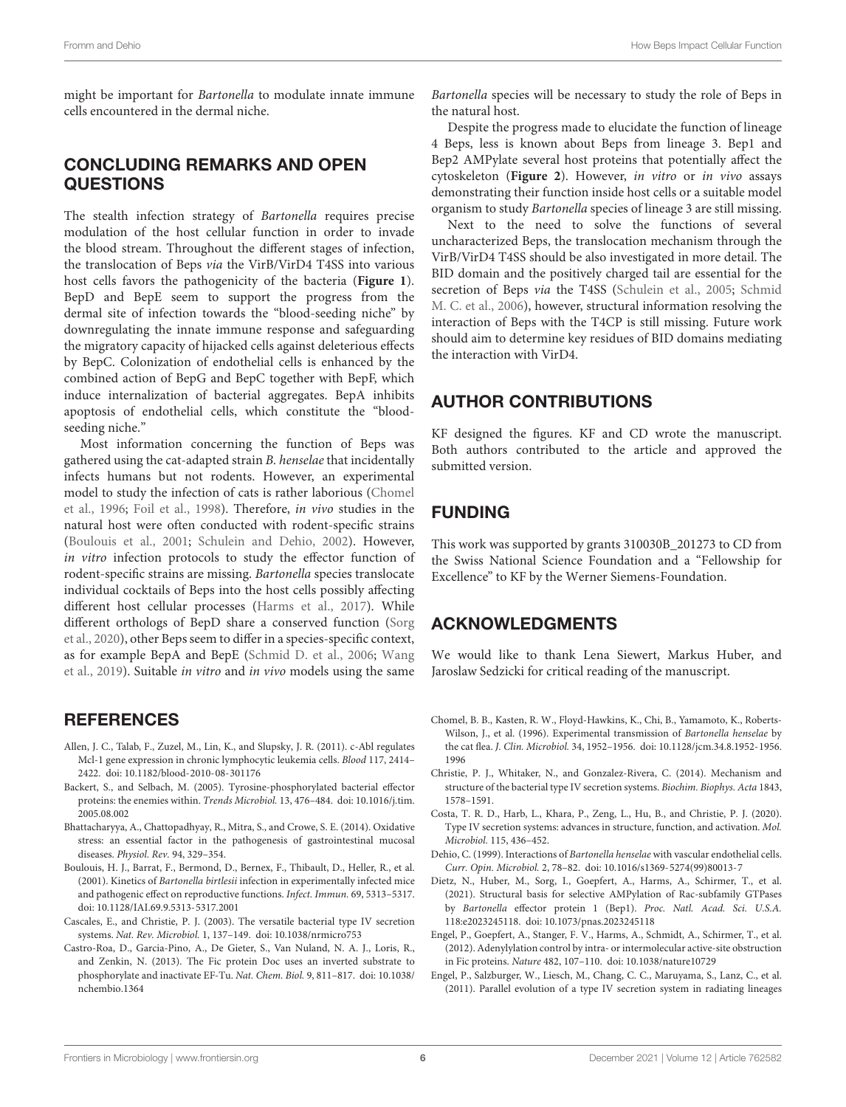might be important for Bartonella to modulate innate immune cells encountered in the dermal niche.

#### CONCLUDING REMARKS AND OPEN QUESTIONS

The stealth infection strategy of Bartonella requires precise modulation of the host cellular function in order to invade the blood stream. Throughout the different stages of infection, the translocation of Beps via the VirB/VirD4 T4SS into various host cells favors the pathogenicity of the bacteria (**[Figure 1](#page-2-0)**). BepD and BepE seem to support the progress from the dermal site of infection towards the "blood-seeding niche" by downregulating the innate immune response and safeguarding the migratory capacity of hijacked cells against deleterious effects by BepC. Colonization of endothelial cells is enhanced by the combined action of BepG and BepC together with BepF, which induce internalization of bacterial aggregates. BepA inhibits apoptosis of endothelial cells, which constitute the "bloodseeding niche."

Most information concerning the function of Beps was gathered using the cat-adapted strain B. henselae that incidentally infects humans but not rodents. However, an experimental model to study the infection of cats is rather laborious [\(Chomel](#page-5-11) [et al.,](#page-5-11) [1996;](#page-5-11) [Foil et al.,](#page-6-36) [1998\)](#page-6-36). Therefore, in vivo studies in the natural host were often conducted with rodent-specific strains [\(Boulouis et al.,](#page-5-12) [2001;](#page-5-12) [Schulein and Dehio,](#page-6-8) [2002\)](#page-6-8). However, in vitro infection protocols to study the effector function of rodent-specific strains are missing. Bartonella species translocate individual cocktails of Beps into the host cells possibly affecting different host cellular processes [\(Harms et al.,](#page-6-7) [2017\)](#page-6-7). While different orthologs of BepD share a conserved function [\(Sorg](#page-7-2) [et al.,](#page-7-2) [2020\)](#page-7-2), other Beps seem to differ in a species-specific context, as for example BepA and BepE [\(Schmid D. et al.,](#page-6-17) [2006;](#page-6-17) [Wang](#page-7-7) [et al.,](#page-7-7) [2019\)](#page-7-7). Suitable in vitro and in vivo models using the same

#### **REFERENCES**

- <span id="page-5-9"></span>Allen, J. C., Talab, F., Zuzel, M., Lin, K., and Slupsky, J. R. (2011). c-Abl regulates Mcl-1 gene expression in chronic lymphocytic leukemia cells. Blood 117, 2414– 2422. [doi: 10.1182/blood-2010-08-301176](https://doi.org/10.1182/blood-2010-08-301176)
- <span id="page-5-10"></span>Backert, S., and Selbach, M. (2005). Tyrosine-phosphorylated bacterial effector proteins: the enemies within. Trends Microbiol. 13, 476–484. [doi: 10.1016/j.tim.](https://doi.org/10.1016/j.tim.2005.08.002) [2005.08.002](https://doi.org/10.1016/j.tim.2005.08.002)
- <span id="page-5-8"></span>Bhattacharyya, A., Chattopadhyay, R., Mitra, S., and Crowe, S. E. (2014). Oxidative stress: an essential factor in the pathogenesis of gastrointestinal mucosal diseases. Physiol. Rev. 94, 329–354.
- <span id="page-5-12"></span>Boulouis, H. J., Barrat, F., Bermond, D., Bernex, F., Thibault, D., Heller, R., et al. (2001). Kinetics of Bartonella birtlesii infection in experimentally infected mice and pathogenic effect on reproductive functions. Infect. Immun. 69, 5313–5317. [doi: 10.1128/IAI.69.9.5313-5317.2001](https://doi.org/10.1128/IAI.69.9.5313-5317.2001)
- <span id="page-5-2"></span>Cascales, E., and Christie, P. J. (2003). The versatile bacterial type IV secretion systems. Nat. Rev. Microbiol. 1, 137–149. [doi: 10.1038/nrmicro753](https://doi.org/10.1038/nrmicro753)
- <span id="page-5-6"></span>Castro-Roa, D., Garcia-Pino, A., De Gieter, S., Van Nuland, N. A. J., Loris, R., and Zenkin, N. (2013). The Fic protein Doc uses an inverted substrate to phosphorylate and inactivate EF-Tu. Nat. Chem. Biol. 9, 811–817. [doi: 10.1038/](https://doi.org/10.1038/nchembio.1364) [nchembio.1364](https://doi.org/10.1038/nchembio.1364)

Bartonella species will be necessary to study the role of Beps in the natural host.

Despite the progress made to elucidate the function of lineage 4 Beps, less is known about Beps from lineage 3. Bep1 and Bep2 AMPylate several host proteins that potentially affect the cytoskeleton (**[Figure 2](#page-3-0)**). However, in vitro or in vivo assays demonstrating their function inside host cells or a suitable model organism to study Bartonella species of lineage 3 are still missing.

Next to the need to solve the functions of several uncharacterized Beps, the translocation mechanism through the VirB/VirD4 T4SS should be also investigated in more detail. The BID domain and the positively charged tail are essential for the secretion of Beps via the T4SS [\(Schulein et al.,](#page-6-1) [2005;](#page-6-1) [Schmid](#page-6-9) [M. C. et al.,](#page-6-9) [2006\)](#page-6-9), however, structural information resolving the interaction of Beps with the T4CP is still missing. Future work should aim to determine key residues of BID domains mediating the interaction with VirD4.

#### AUTHOR CONTRIBUTIONS

KF designed the figures. KF and CD wrote the manuscript. Both authors contributed to the article and approved the submitted version.

## FUNDING

This work was supported by grants 310030B\_201273 to CD from the Swiss National Science Foundation and a "Fellowship for Excellence" to KF by the Werner Siemens-Foundation.

#### ACKNOWLEDGMENTS

We would like to thank Lena Siewert, Markus Huber, and Jaroslaw Sedzicki for critical reading of the manuscript.

- <span id="page-5-11"></span>Chomel, B. B., Kasten, R. W., Floyd-Hawkins, K., Chi, B., Yamamoto, K., Roberts-Wilson, J., et al. (1996). Experimental transmission of Bartonella henselae by the cat flea. J. Clin. Microbiol. 34, 1952–1956. [doi: 10.1128/jcm.34.8.1952-1956.](https://doi.org/10.1128/jcm.34.8.1952-1956.1996) [1996](https://doi.org/10.1128/jcm.34.8.1952-1956.1996)
- <span id="page-5-0"></span>Christie, P. J., Whitaker, N., and Gonzalez-Rivera, C. (2014). Mechanism and structure of the bacterial type IV secretion systems. Biochim. Biophys. Acta 1843, 1578–1591.
- <span id="page-5-1"></span>Costa, T. R. D., Harb, L., Khara, P., Zeng, L., Hu, B., and Christie, P. J. (2020). Type IV secretion systems: advances in structure, function, and activation. Mol. Microbiol. 115, 436–452.
- <span id="page-5-4"></span>Dehio, C. (1999). Interactions of Bartonella henselae with vascular endothelial cells. Curr. Opin. Microbiol. 2, 78–82. [doi: 10.1016/s1369-5274\(99\)80013-7](https://doi.org/10.1016/s1369-5274(99)80013-7)
- <span id="page-5-7"></span>Dietz, N., Huber, M., Sorg, I., Goepfert, A., Harms, A., Schirmer, T., et al. (2021). Structural basis for selective AMPylation of Rac-subfamily GTPases by Bartonella effector protein 1 (Bep1). Proc. Natl. Acad. Sci. U.S.A. 118:e2023245118. [doi: 10.1073/pnas.2023245118](https://doi.org/10.1073/pnas.2023245118)
- <span id="page-5-5"></span>Engel, P., Goepfert, A., Stanger, F. V., Harms, A., Schmidt, A., Schirmer, T., et al. (2012). Adenylylation control by intra- or intermolecular active-site obstruction in Fic proteins. Nature 482, 107–110. [doi: 10.1038/nature10729](https://doi.org/10.1038/nature10729)
- <span id="page-5-3"></span>Engel, P., Salzburger, W., Liesch, M., Chang, C. C., Maruyama, S., Lanz, C., et al. (2011). Parallel evolution of a type IV secretion system in radiating lineages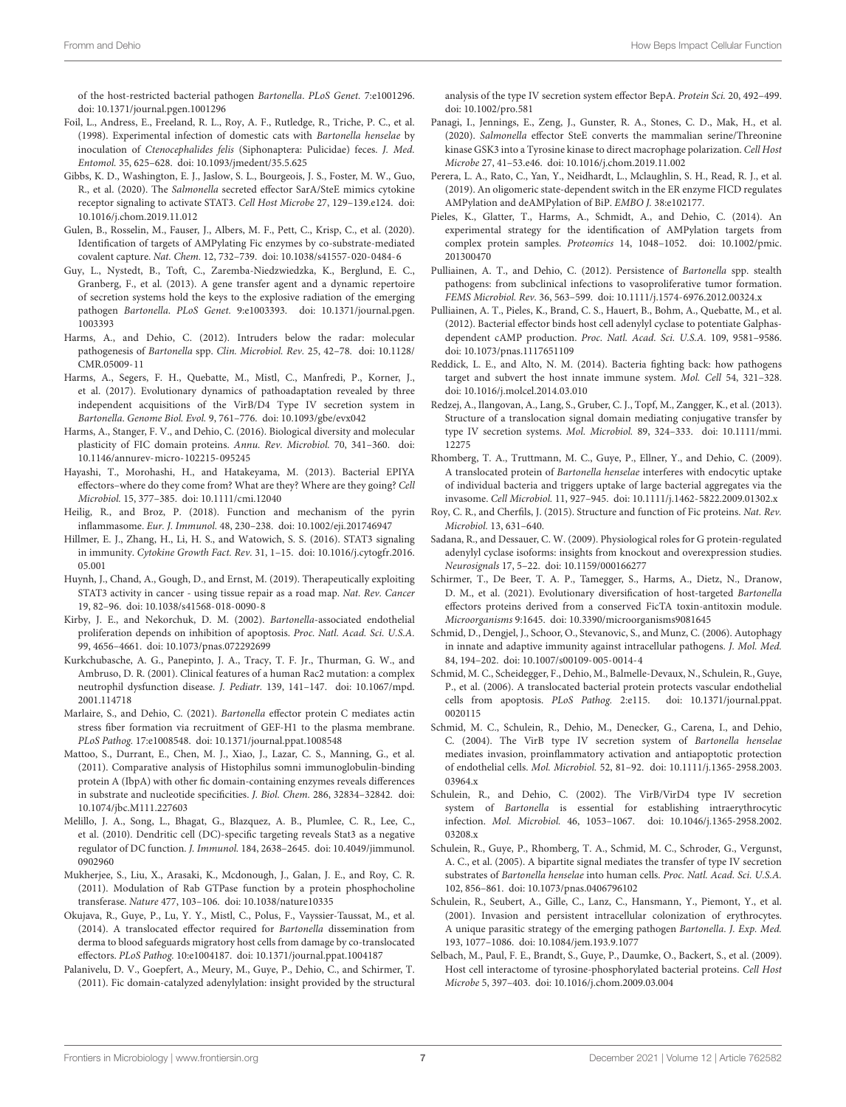of the host-restricted bacterial pathogen Bartonella. PLoS Genet. 7:e1001296. [doi: 10.1371/journal.pgen.1001296](https://doi.org/10.1371/journal.pgen.1001296)

- <span id="page-6-36"></span>Foil, L., Andress, E., Freeland, R. L., Roy, A. F., Rutledge, R., Triche, P. C., et al. (1998). Experimental infection of domestic cats with Bartonella henselae by inoculation of Ctenocephalides felis (Siphonaptera: Pulicidae) feces. J. Med. Entomol. 35, 625–628. [doi: 10.1093/jmedent/35.5.625](https://doi.org/10.1093/jmedent/35.5.625)
- <span id="page-6-33"></span>Gibbs, K. D., Washington, E. J., Jaslow, S. L., Bourgeois, J. S., Foster, M. W., Guo, R., et al. (2020). The Salmonella secreted effector SarA/SteE mimics cytokine receptor signaling to activate STAT3. Cell Host Microbe 27, 129–139.e124. [doi:](https://doi.org/10.1016/j.chom.2019.11.012) [10.1016/j.chom.2019.11.012](https://doi.org/10.1016/j.chom.2019.11.012)
- <span id="page-6-23"></span>Gulen, B., Rosselin, M., Fauser, J., Albers, M. F., Pett, C., Krisp, C., et al. (2020). Identification of targets of AMPylating Fic enzymes by co-substrate-mediated covalent capture. Nat. Chem. 12, 732–739. [doi: 10.1038/s41557-020-0484-6](https://doi.org/10.1038/s41557-020-0484-6)
- <span id="page-6-6"></span>Guy, L., Nystedt, B., Toft, C., Zaremba-Niedzwiedzka, K., Berglund, E. C., Granberg, F., et al. (2013). A gene transfer agent and a dynamic repertoire of secretion systems hold the keys to the explosive radiation of the emerging pathogen Bartonella. PLoS Genet. 9:e1003393. [doi: 10.1371/journal.pgen.](https://doi.org/10.1371/journal.pgen.1003393) [1003393](https://doi.org/10.1371/journal.pgen.1003393)
- <span id="page-6-4"></span>Harms, A., and Dehio, C. (2012). Intruders below the radar: molecular pathogenesis of Bartonella spp. Clin. Microbiol. Rev. 25, 42–78. [doi: 10.1128/](https://doi.org/10.1128/CMR.05009-11) [CMR.05009-11](https://doi.org/10.1128/CMR.05009-11)
- <span id="page-6-7"></span>Harms, A., Segers, F. H., Quebatte, M., Mistl, C., Manfredi, P., Korner, J., et al. (2017). Evolutionary dynamics of pathoadaptation revealed by three independent acquisitions of the VirB/D4 Type IV secretion system in Bartonella. Genome Biol. Evol. 9, 761–776. [doi: 10.1093/gbe/evx042](https://doi.org/10.1093/gbe/evx042)
- <span id="page-6-19"></span>Harms, A., Stanger, F. V., and Dehio, C. (2016). Biological diversity and molecular plasticity of FIC domain proteins. Annu. Rev. Microbiol. 70, 341–360. [doi:](https://doi.org/10.1146/annurev-micro-102215-095245) [10.1146/annurev-micro-102215-095245](https://doi.org/10.1146/annurev-micro-102215-095245)
- <span id="page-6-35"></span>Hayashi, T., Morohashi, H., and Hatakeyama, M. (2013). Bacterial EPIYA effectors–where do they come from? What are they? Where are they going? Cell Microbiol. 15, 377–385. [doi: 10.1111/cmi.12040](https://doi.org/10.1111/cmi.12040)
- <span id="page-6-28"></span>Heilig, R., and Broz, P. (2018). Function and mechanism of the pyrin inflammasome. Eur. J. Immunol. 48, 230–238. [doi: 10.1002/eji.201746947](https://doi.org/10.1002/eji.201746947)
- <span id="page-6-30"></span>Hillmer, E. J., Zhang, H., Li, H. S., and Watowich, S. S. (2016). STAT3 signaling in immunity. Cytokine Growth Fact. Rev. 31, 1–15. [doi: 10.1016/j.cytogfr.2016.](https://doi.org/10.1016/j.cytogfr.2016.05.001) [05.001](https://doi.org/10.1016/j.cytogfr.2016.05.001)
- <span id="page-6-31"></span>Huynh, J., Chand, A., Gough, D., and Ernst, M. (2019). Therapeutically exploiting STAT3 activity in cancer - using tissue repair as a road map. Nat. Rev. Cancer 19, 82–96. [doi: 10.1038/s41568-018-0090-8](https://doi.org/10.1038/s41568-018-0090-8)
- <span id="page-6-15"></span>Kirby, J. E., and Nekorchuk, D. M. (2002). Bartonella-associated endothelial proliferation depends on inhibition of apoptosis. Proc. Natl. Acad. Sci. U.S.A. 99, 4656–4661. [doi: 10.1073/pnas.072292699](https://doi.org/10.1073/pnas.072292699)
- <span id="page-6-27"></span>Kurkchubasche, A. G., Panepinto, J. A., Tracy, T. F. Jr., Thurman, G. W., and Ambruso, D. R. (2001). Clinical features of a human Rac2 mutation: a complex neutrophil dysfunction disease. J. Pediatr. 139, 141–147. [doi: 10.1067/mpd.](https://doi.org/10.1067/mpd.2001.114718) [2001.114718](https://doi.org/10.1067/mpd.2001.114718)
- <span id="page-6-10"></span>Marlaire, S., and Dehio, C. (2021). Bartonella effector protein C mediates actin stress fiber formation via recruitment of GEF-H1 to the plasma membrane. PLoS Pathog. 17:e1008548. [doi: 10.1371/journal.ppat.1008548](https://doi.org/10.1371/journal.ppat.1008548)
- <span id="page-6-26"></span>Mattoo, S., Durrant, E., Chen, M. J., Xiao, J., Lazar, C. S., Manning, G., et al. (2011). Comparative analysis of Histophilus somni immunoglobulin-binding protein A (IbpA) with other fic domain-containing enzymes reveals differences in substrate and nucleotide specificities. J. Biol. Chem. 286, 32834–32842. [doi:](https://doi.org/10.1074/jbc.M111.227603) [10.1074/jbc.M111.227603](https://doi.org/10.1074/jbc.M111.227603)
- <span id="page-6-32"></span>Melillo, J. A., Song, L., Bhagat, G., Blazquez, A. B., Plumlee, C. R., Lee, C., et al. (2010). Dendritic cell (DC)-specific targeting reveals Stat3 as a negative regulator of DC function. J. Immunol. 184, 2638–2645. [doi: 10.4049/jimmunol.](https://doi.org/10.4049/jimmunol.0902960) [0902960](https://doi.org/10.4049/jimmunol.0902960)
- <span id="page-6-20"></span>Mukherjee, S., Liu, X., Arasaki, K., Mcdonough, J., Galan, J. E., and Roy, C. R. (2011). Modulation of Rab GTPase function by a protein phosphocholine transferase. Nature 477, 103–106. [doi: 10.1038/nature10335](https://doi.org/10.1038/nature10335)
- <span id="page-6-2"></span>Okujava, R., Guye, P., Lu, Y. Y., Mistl, C., Polus, F., Vayssier-Taussat, M., et al. (2014). A translocated effector required for Bartonella dissemination from derma to blood safeguards migratory host cells from damage by co-translocated effectors. PLoS Pathog. 10:e1004187. [doi: 10.1371/journal.ppat.1004187](https://doi.org/10.1371/journal.ppat.1004187)
- <span id="page-6-24"></span>Palanivelu, D. V., Goepfert, A., Meury, M., Guye, P., Dehio, C., and Schirmer, T. (2011). Fic domain-catalyzed adenylylation: insight provided by the structural

analysis of the type IV secretion system effector BepA. Protein Sci. 20, 492–499. [doi: 10.1002/pro.581](https://doi.org/10.1002/pro.581)

- <span id="page-6-34"></span>Panagi, I., Jennings, E., Zeng, J., Gunster, R. A., Stones, C. D., Mak, H., et al. (2020). Salmonella effector SteE converts the mammalian serine/Threonine kinase GSK3 into a Tyrosine kinase to direct macrophage polarization. Cell Host Microbe 27, 41–53.e46. [doi: 10.1016/j.chom.2019.11.002](https://doi.org/10.1016/j.chom.2019.11.002)
- <span id="page-6-21"></span>Perera, L. A., Rato, C., Yan, Y., Neidhardt, L., Mclaughlin, S. H., Read, R. J., et al. (2019). An oligomeric state-dependent switch in the ER enzyme FICD regulates AMPylation and deAMPylation of BiP. EMBO J. 38:e102177.
- <span id="page-6-25"></span>Pieles, K., Glatter, T., Harms, A., Schmidt, A., and Dehio, C. (2014). An experimental strategy for the identification of AMPylation targets from complex protein samples. Proteomics 14, 1048–1052. [doi: 10.1002/pmic.](https://doi.org/10.1002/pmic.201300470) [201300470](https://doi.org/10.1002/pmic.201300470)
- <span id="page-6-5"></span>Pulliainen, A. T., and Dehio, C. (2012). Persistence of Bartonella spp. stealth pathogens: from subclinical infections to vasoproliferative tumor formation. FEMS Microbiol. Rev. 36, 563–599. [doi: 10.1111/j.1574-6976.2012.00324.x](https://doi.org/10.1111/j.1574-6976.2012.00324.x)
- <span id="page-6-11"></span>Pulliainen, A. T., Pieles, K., Brand, C. S., Hauert, B., Bohm, A., Quebatte, M., et al. (2012). Bacterial effector binds host cell adenylyl cyclase to potentiate Galphasdependent cAMP production. Proc. Natl. Acad. Sci. U.S.A. 109, 9581–9586. [doi: 10.1073/pnas.1117651109](https://doi.org/10.1073/pnas.1117651109)
- <span id="page-6-29"></span>Reddick, L. E., and Alto, N. M. (2014). Bacteria fighting back: how pathogens target and subvert the host innate immune system. Mol. Cell 54, 321–328. [doi: 10.1016/j.molcel.2014.03.010](https://doi.org/10.1016/j.molcel.2014.03.010)
- <span id="page-6-0"></span>Redzej, A., Ilangovan, A., Lang, S., Gruber, C. J., Topf, M., Zangger, K., et al. (2013). Structure of a translocation signal domain mediating conjugative transfer by type IV secretion systems. Mol. Microbiol. 89, 324–333. [doi: 10.1111/mmi.](https://doi.org/10.1111/mmi.12275) [12275](https://doi.org/10.1111/mmi.12275)
- <span id="page-6-14"></span>Rhomberg, T. A., Truttmann, M. C., Guye, P., Ellner, Y., and Dehio, C. (2009). A translocated protein of Bartonella henselae interferes with endocytic uptake of individual bacteria and triggers uptake of large bacterial aggregates via the invasome. Cell Microbiol. 11, 927–945. [doi: 10.1111/j.1462-5822.2009.01302.x](https://doi.org/10.1111/j.1462-5822.2009.01302.x)
- <span id="page-6-18"></span>Roy, C. R., and Cherfils, J. (2015). Structure and function of Fic proteins. Nat. Rev. Microbiol. 13, 631–640.
- <span id="page-6-16"></span>Sadana, R., and Dessauer, C. W. (2009). Physiological roles for G protein-regulated adenylyl cyclase isoforms: insights from knockout and overexpression studies. Neurosignals 17, 5–22. [doi: 10.1159/000166277](https://doi.org/10.1159/000166277)
- <span id="page-6-22"></span>Schirmer, T., De Beer, T. A. P., Tamegger, S., Harms, A., Dietz, N., Dranow, D. M., et al. (2021). Evolutionary diversification of host-targeted Bartonella effectors proteins derived from a conserved FicTA toxin-antitoxin module. Microorganisms 9:1645. [doi: 10.3390/microorganisms9081645](https://doi.org/10.3390/microorganisms9081645)
- <span id="page-6-17"></span>Schmid, D., Dengjel, J., Schoor, O., Stevanovic, S., and Munz, C. (2006). Autophagy in innate and adaptive immunity against intracellular pathogens. J. Mol. Med. 84, 194–202. [doi: 10.1007/s00109-005-0014-4](https://doi.org/10.1007/s00109-005-0014-4)
- <span id="page-6-9"></span>Schmid, M. C., Scheidegger, F., Dehio, M., Balmelle-Devaux, N., Schulein, R., Guye, P., et al. (2006). A translocated bacterial protein protects vascular endothelial cells from apoptosis. PLoS Pathog. 2:e115. [doi: 10.1371/journal.ppat.](https://doi.org/10.1371/journal.ppat.0020115) [0020115](https://doi.org/10.1371/journal.ppat.0020115)
- <span id="page-6-13"></span>Schmid, M. C., Schulein, R., Dehio, M., Denecker, G., Carena, I., and Dehio, C. (2004). The VirB type IV secretion system of Bartonella henselae mediates invasion, proinflammatory activation and antiapoptotic protection of endothelial cells. Mol. Microbiol. 52, 81–92. [doi: 10.1111/j.1365-2958.2003.](https://doi.org/10.1111/j.1365-2958.2003.03964.x) [03964.x](https://doi.org/10.1111/j.1365-2958.2003.03964.x)
- <span id="page-6-8"></span>Schulein, R., and Dehio, C. (2002). The VirB/VirD4 type IV secretion system of Bartonella is essential for establishing intraerythrocytic infection. Mol. Microbiol. 46, 1053–1067. [doi: 10.1046/j.1365-2958.2002.](https://doi.org/10.1046/j.1365-2958.2002.03208.x) [03208.x](https://doi.org/10.1046/j.1365-2958.2002.03208.x)
- <span id="page-6-1"></span>Schulein, R., Guye, P., Rhomberg, T. A., Schmid, M. C., Schroder, G., Vergunst, A. C., et al. (2005). A bipartite signal mediates the transfer of type IV secretion substrates of Bartonella henselae into human cells. Proc. Natl. Acad. Sci. U.S.A. 102, 856–861. [doi: 10.1073/pnas.0406796102](https://doi.org/10.1073/pnas.0406796102)
- <span id="page-6-3"></span>Schulein, R., Seubert, A., Gille, C., Lanz, C., Hansmann, Y., Piemont, Y., et al. (2001). Invasion and persistent intracellular colonization of erythrocytes. A unique parasitic strategy of the emerging pathogen Bartonella. J. Exp. Med. 193, 1077–1086. [doi: 10.1084/jem.193.9.1077](https://doi.org/10.1084/jem.193.9.1077)
- <span id="page-6-12"></span>Selbach, M., Paul, F. E., Brandt, S., Guye, P., Daumke, O., Backert, S., et al. (2009). Host cell interactome of tyrosine-phosphorylated bacterial proteins. Cell Host Microbe 5, 397–403. [doi: 10.1016/j.chom.2009.03.004](https://doi.org/10.1016/j.chom.2009.03.004)